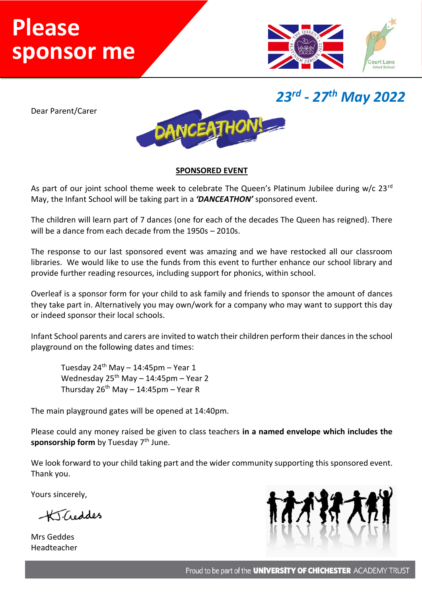## Name…………………………………………. **Please**  sponsor me



*23rd - 27th May 2022*

Dear Parent/Carer



## **SPONSORED EVENT**

As part of our joint school theme week to celebrate The Queen's Platinum Jubilee during  $w/c$  23<sup>rd</sup> May, the Infant School will be taking part in a *'DANCEATHON'* sponsored event.

The children will learn part of 7 dances (one for each of the decades The Queen has reigned). There will be a dance from each decade from the 1950s – 2010s.

The response to our last sponsored event was amazing and we have restocked all our classroom libraries. We would like to use the funds from this event to further enhance our school library and provide further reading resources, including support for phonics, within school.

Overleaf is a sponsor form for your child to ask family and friends to sponsor the amount of dances they take part in. Alternatively you may own/work for a company who may want to support this day or indeed sponsor their local schools.

Infant School parents and carers are invited to watch their children perform their dances in the school playground on the following dates and times:

Tuesday  $24^{th}$  May - 14:45pm - Year 1 Wednesday  $25^{th}$  May - 14:45pm - Year 2 Thursday  $26^{th}$  May - 14:45pm - Year R

The main playground gates will be opened at 14:40pm.

Please could any money raised be given to class teachers **in a named envelope which includes the**  sponsorship form by Tuesday 7<sup>th</sup> June.

We look forward to your child taking part and the wider community supporting this sponsored event. Thank you.

Yours sincerely,

KTCreddes

Mrs Geddes Headteacher